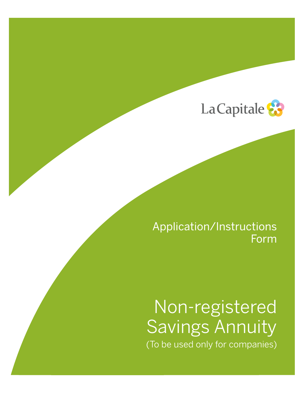

## Application/Instructions Form

# Non-registered Savings Annuity (To be used only for companies)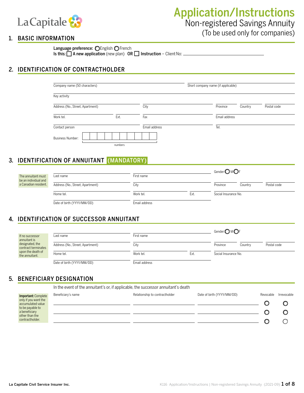

Language preference: OEnglish OFrench

Is this:  $\Box$  A new application (new plan) OR  $\Box$  Instruction – Client No:  $\Box$ 

### 2. IDENTIFICATION OF CONTRACTHOLDER

| Company name (50 characters)     |         |               | Short company name (if applicable) |         |             |  |  |
|----------------------------------|---------|---------------|------------------------------------|---------|-------------|--|--|
| Key activity                     |         |               |                                    |         |             |  |  |
| Address (No., Street, Apartment) |         | City          | Province                           | Country | Postal code |  |  |
| Work tel.                        | Ext.    | Fax           | Email address                      |         |             |  |  |
| Contact person                   |         | Email address | Tel.                               |         |             |  |  |
| <b>Business Number:</b>          |         |               |                                    |         |             |  |  |
|                                  | numbers |               |                                    |         |             |  |  |

## 3. IDENTIFICATION OF ANNUITANT (MANDATORY)

| The annuitant must<br>be an individual and | Last name                        | Gender: $\bigcirc$ M $\bigcirc$ F |      |                      |         |             |
|--------------------------------------------|----------------------------------|-----------------------------------|------|----------------------|---------|-------------|
| a Canadian resident.                       | Address (No., Street, Apartment) | City                              |      | Province             | Country | Postal code |
|                                            | Home tel.                        | Work tel.                         | Ext. | Social Insurance No. |         |             |
|                                            | Date of birth (YYYY/MM/DD)       | Email address                     |      |                      |         |             |

### 4. IDENTIFICATION OF SUCCESSOR ANNUITANT

|                                        |                                  |               |      | Gender: $\bigcirc$ M $\bigcirc$ F |         |             |
|----------------------------------------|----------------------------------|---------------|------|-----------------------------------|---------|-------------|
| If no successor<br>annuitant is        | Last name                        | First name    |      |                                   |         |             |
| designated, the<br>contract terminates | Address (No., Street, Apartment) | City          |      | Province                          | Country | Postal code |
| upon the death of<br>the annuitant.    | Home tel.                        | Work tel.     | Ext. | Social Insurance No.              |         |             |
|                                        | Date of birth (YYYY/MM/DD)       | Email address |      |                                   |         |             |

### 5. BENEFICIARY DESIGNATION

In the event of the annuitant's or, if applicable, the successor annuitant's death Beneficiary's name example and the Relationship to contractholder Date of birth (YYYY/MM/DD) Revocable Irrevocable Important: Complete only if you want the  $\circ$  $\circ$ accumulated value to be payable to a beneficiary  $\circ$  $\circ$ other than the contractholder. O  $\bigcirc$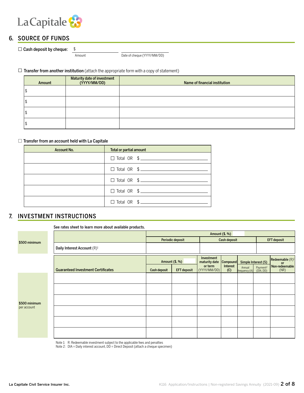

### 6. SOURCE OF FUNDS

 $\Box$  Cash deposit by cheque: \$

Amount Date of cheque (YYYY/MM/DD)

### $\Box$  Transfer from another institution (attach the appropriate form with a copy of statement)

| Amount | Maturity date of investment<br>(YYYY/MM/DD) | Name of financial institution |
|--------|---------------------------------------------|-------------------------------|
|        |                                             |                               |
|        |                                             |                               |
|        |                                             |                               |
|        |                                             |                               |

#### $\Box$  Transfer from an account held with La Capitale

| <b>Account No.</b> | Total or partial amount         |
|--------------------|---------------------------------|
|                    | $\Box$ Total OR $\quad$ $\quad$ |
|                    | $\Box$ Total OR $\quad \$       |
|                    |                                 |
|                    |                                 |
|                    | $\Box$ Total OR $\quad \$       |

### 7. INVESTMENT INSTRUCTIONS

#### See rates sheet to learn more about available products.

| Amount (\$, %) |                                           |              |                    |                             |                 |                                                        |  |                                 |  |
|----------------|-------------------------------------------|--------------|--------------------|-----------------------------|-----------------|--------------------------------------------------------|--|---------------------------------|--|
| \$500 minimum  |                                           |              | Periodic deposit   |                             | Cash deposit    |                                                        |  | <b>EFT deposit</b>              |  |
|                | Daily Interest Account (R) <sup>1</sup>   |              |                    |                             |                 |                                                        |  |                                 |  |
|                |                                           |              | Amount (\$, %)     | Investment<br>maturity date | Compound        | Simple Interest (S)                                    |  | Redeemable $(R)^1$<br><b>or</b> |  |
|                | <b>Guaranteed Investment Certificates</b> | Cash deposit | <b>EFT</b> deposit | or term<br>(YYYY/MM/DD)     | Interest<br>(C) | Annual Payment <sup>2</sup><br>frequency (A) (DIA, DD) |  | Non-redeemable<br>(NR)          |  |
|                |                                           |              |                    |                             |                 |                                                        |  |                                 |  |
|                |                                           |              |                    |                             |                 |                                                        |  |                                 |  |
| \$500 minimum  |                                           |              |                    |                             |                 |                                                        |  |                                 |  |
| per account    |                                           |              |                    |                             |                 |                                                        |  |                                 |  |
|                |                                           |              |                    |                             |                 |                                                        |  |                                 |  |
|                |                                           |              |                    |                             |                 |                                                        |  |                                 |  |

Note 1: R: Redeemable investment subject to the applicable fees and penalties

Note 2: DIA = Daily interest account, DD = Direct Deposit (attach a cheque specimen)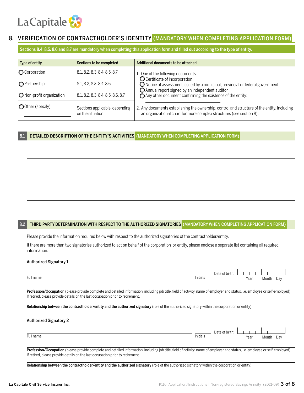

### 8. VERIFICATION OF CONTRACTHOLDER'S IDENTITY (MANDATORY WHEN COMPLETING APPLICATION FORM

Sections 8.4, 8.5, 8.6 and 8.7 are mandatory when completing this application form and filled out according to the type of entity.

| Type of entity            | Sections to be completed                           | Additional documents to be attached                                                                                                                                 |
|---------------------------|----------------------------------------------------|---------------------------------------------------------------------------------------------------------------------------------------------------------------------|
| <b>O</b> Corporation      | 8.1, 8.2, 8.3, 8.4, 8.5, 8.7                       | 1. One of the following documents:                                                                                                                                  |
| <b>O</b> Partnership      | 8.1, 8.2, 8.3, 8.4, 8.6                            | O Certificate of incorporation<br>$\bigcirc$ Notice of assessment issued by a municipal, provincial or federal government                                           |
| O Non-profit organization | 8.1, 8.2, 8.3, 8.4, 8.5, 8.6, 8.7                  | O Annual report signed by an independent auditor<br>◯ Any other document confirming the existence of the entity:                                                    |
| OOther (specify):         | Sections applicable, depending<br>on the situation | 2. Any documents establishing the ownership, control and structure of the entity, including<br>an organizational chart for more complex structures (see section 8). |

#### 8.1 DETAILED DESCRIPTION OF THE ENTITY'S ACTIVITIES (MANDATORY WHEN COMPLETING APPLICATION FORM)

#### 8.2 THIRD PARTY DETERMINATION WITH RESPECT TO THE AUTHORIZED SIGNATORIES (MANDATORY WHEN COMPLETING APPLICATION FORM)

Please provide the information required below with respect to the authorized signatories of the contractholder/entity.

If there are more than two signatories authorized to act on behalf of the corporation or entity, please enclose a separate list containing all required information.

#### Authorized Signatory 1

|           |                      | $\sim$ $\sim$ $\sim$<br>Date of birth: |      |       |     |
|-----------|----------------------|----------------------------------------|------|-------|-----|
| Full name | $\cdots$<br>Initials | .                                      | Year | Montl | Day |

Profession/Occupation (please provide complete and detailed information, including job title, field of activity, name of employer and status, i.e. employee or self-employed). If retired, please provide details on the last occupation prior to retirement.

Relationship between the contractholder/entity and the authorized signatory (role of the authorized signatory within the corporation or entity)

#### Authorized Signatory 2

|               |          | Date of birth: |      |       |     |  |
|---------------|----------|----------------|------|-------|-----|--|
| Full name<br> | Initials |                | Year | Month | Day |  |
|               |          |                |      |       |     |  |

Profession/Occupation (please provide complete and detailed information, including job title, field of activity, name of employer and status, i.e. employee or self-employed). If retired, please provide details on the last occupation prior to retirement.

Relationship between the contractholder/entity and the authorized signatory (role of the authorized signatory within the corporation or entity)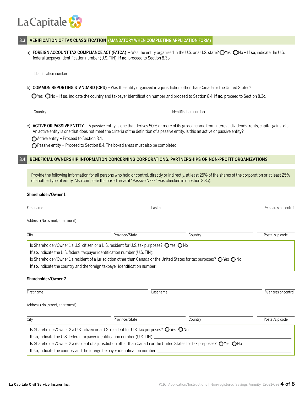## La Capitale 83

#### VERIFICATION OF TAX CLASSIFICATION (MANDATORY WHEN COMPLETING APPLICATION FORM)

a) FOREIGN ACCOUNT TAX COMPLIANCE ACT (FATCA) – Was the entity organized in the U.S. or a U.S. state? O'les O'les on  $-$  If so, indicate the U.S. federal taxpayer identification number (U.S. TIN). If no, proceed to Section 8.3b.

Identification number

b) COMMON REPORTING STANDARD (CRS) – Was the entity organized in a jurisdiction other than Canada or the United States?

 $\bigcirc$  Yes  $\bigcirc$ No – If so, indicate the country and taxpayer identification number and proceed to Section 8.4. If no, proceed to Section 8.3c.

**Country Country Identification number** Identification number

c) ACTIVE OR PASSIVE ENTITY – A passive entity is one that derives 50% or more of its gross income from interest, dividends, rents, capital gains, etc. An active entity is one that does not meet the criteria of the definition of a passive entity. Is this an active or passive entity?

Active entity – Proceed to Section 8.4.

◯ Passive entity – Proceed to Section 8.4. The boxed areas must also be completed.

#### 8.4 BENEFICIAL OWNERSHIP INFORMATION CONCERNING CORPORATIONS, PARTNERSHIPS OR NON-PROFIT ORGANIZATIONS

Provide the following information for all persons who hold or control, directly or indirectly, at least 25% of the shares of the corporation or at least 25% of another type of entity. Also complete the boxed areas if "Passive NFFE" was checked in question 8.3c).

#### Shareholder/Owner 1

| First name                       |                                                                                                                                                                                                                                                                                                                                            | Last name |                     |
|----------------------------------|--------------------------------------------------------------------------------------------------------------------------------------------------------------------------------------------------------------------------------------------------------------------------------------------------------------------------------------------|-----------|---------------------|
| Address (No., street, apartment) |                                                                                                                                                                                                                                                                                                                                            |           |                     |
| City                             | Province/State                                                                                                                                                                                                                                                                                                                             | Country   | Postal/zip code     |
|                                  | Is Shareholder/Owner 1 a U.S. citizen or a U.S. resident for U.S. tax purposes? $\bigcirc$ Yes $\bigcirc$ No<br>If so, indicate the U.S. federal taxpayer identification number (U.S. TIN): _<br>Is Shareholder/Owner 1 a resident of a jurisdiction other than Canada or the United States for tax purposes? $\bigcirc$ Yes $\bigcirc$ No |           |                     |
|                                  | If so, indicate the country and the foreign taxpayer identification number: __________________________________                                                                                                                                                                                                                             |           |                     |
| Shareholder/Owner 2              |                                                                                                                                                                                                                                                                                                                                            |           |                     |
| First name                       | Last name                                                                                                                                                                                                                                                                                                                                  |           | % shares or control |
| Address (No., street, apartment) |                                                                                                                                                                                                                                                                                                                                            |           |                     |
| City                             | Province/State                                                                                                                                                                                                                                                                                                                             | Country   | Postal/zip code     |
|                                  | Is Shareholder/Owner 2 a U.S. citizen or a U.S. resident for U.S. tax purposes? O Yes ONo                                                                                                                                                                                                                                                  |           |                     |
|                                  | If so, indicate the U.S. federal taxpayer identification number (U.S. TIN): ______                                                                                                                                                                                                                                                         |           |                     |
|                                  | Is Shareholder/Owner 2 a resident of a jurisdiction other than Canada or the United States for tax purposes? O Yes ONo                                                                                                                                                                                                                     |           |                     |
|                                  | <b>If so,</b> indicate the country and the foreign taxpayer identification number:                                                                                                                                                                                                                                                         |           |                     |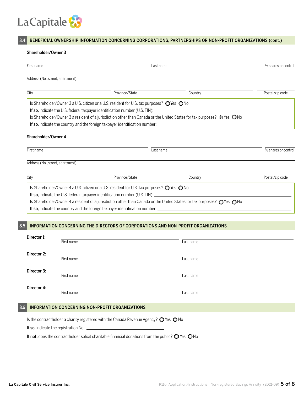

### 8.4 BENEFICIAL OWNERSHIP INFORMATION CONCERNING CORPORATIONS, PARTNERSHIPS OR NON-PROFIT ORGANIZATIONS (cont.)

#### Shareholder/Owner 3

| First name                       |                                                                                                                               | Last name |                     |
|----------------------------------|-------------------------------------------------------------------------------------------------------------------------------|-----------|---------------------|
| Address (No., street, apartment) |                                                                                                                               |           |                     |
| City                             | Province/State                                                                                                                | Country   | Postal/zip code     |
|                                  | Is Shareholder/Owner 3 a U.S. citizen or a U.S. resident for U.S. tax purposes? ◯ Yes ◯ No                                    |           |                     |
|                                  | If so, indicate the U.S. federal taxpayer identification number (U.S. TIN):                                                   |           |                     |
|                                  | Is Shareholder/Owner 3 a resident of a jurisdiction other than Canada or the United States for tax purposes? $\oplus$ Yes ONo |           |                     |
|                                  | If so, indicate the country and the foreign taxpayer identification number: __________________________________                |           |                     |
| Shareholder/Owner 4              |                                                                                                                               |           |                     |
|                                  |                                                                                                                               |           |                     |
| First name                       | Last name                                                                                                                     |           | % shares or control |
|                                  |                                                                                                                               |           |                     |
| Address (No., street, apartment) |                                                                                                                               |           |                     |
| City                             | Province/State                                                                                                                | Country   | Postal/zip code     |
|                                  | Is Shareholder/Owner 4 a U.S. citizen or a U.S. resident for U.S. tax purposes? $\bigcirc$ Yes $\bigcirc$ No                  |           |                     |
|                                  | If so, indicate the U.S. federal taxpayer identification number (U.S. TIN): _______________________                           |           |                     |
|                                  | Is Shareholder/Owner 4 a resident of a jurisdiction other than Canada or the United States for tax purposes? ○Yes ○No         |           |                     |
|                                  | If so, indicate the country and the foreign taxpayer identification number: __________________________________                |           |                     |
|                                  |                                                                                                                               |           |                     |
|                                  | <b>INFORMATION CONCERNING THE DIRECTORS OF CORPORATIONS AND NON-PROFIT ORGANIZATIONS</b>                                      |           |                     |
|                                  |                                                                                                                               |           |                     |
| Director 1:                      |                                                                                                                               |           |                     |
| First name                       |                                                                                                                               | Last name |                     |
| Diractor 2.                      |                                                                                                                               |           |                     |

| Director Z. | First name | Last name |
|-------------|------------|-----------|
| Director 3: | First name | Last name |
| Director 4: | First name | Last name |

#### 8.6 INFORMATION CONCERNING NON-PROFIT ORGANIZATIONS

Is the contractholder a charity registered with the Canada Revenue Agency?  $\bigcirc$  Yes  $\bigcirc$  No

If so, indicate the registration No.: \_

If not, does the contractholder solicit charitable financial donations from the public?  $\bigcirc$  Yes  $\bigcirc$  No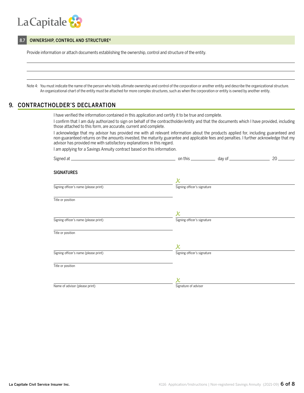

#### 8.7 OWNERSHIP, CONTROL AND STRUCTURE<sup>4</sup>

Provide information or attach documents establishing the ownership, control and structure of the entity.

Note 4: You must indicate the name of the person who holds ultimate ownership and control of the corporation or another entity and describe the organizational structure. An organizational chart of the entity must be attached for more complex structures, such as when the corporation or entity is owned by another entity.

### 9. CONTRACTHOLDER'S DECLARATION

I have verified the information contained in this application and certify it to be true and complete.

I confirm that I am duly authorized to sign on behalf of the contractholder/entity and that the documents which I have provided, including those attached to this form, are accurate, current and complete.

I acknowledge that my advisor has provided me with all relevant information about the products applied for, including guaranteed and non-guaranteed returns on the amounts invested, the maturity guarantee and applicable fees and penalties. I further acknowledge that my advisor has provided me with satisfactory explanations in this regard.

I am applying for a Savings Annuity contract based on this information.

| <b>SIGNATURES</b>                     |                             |  |
|---------------------------------------|-----------------------------|--|
|                                       | $\pmb{\mathsf{X}}$          |  |
| Signing officer's name (please print) | Signing officer's signature |  |
| Title or position                     |                             |  |
|                                       | $\pmb{\mathsf{X}}$          |  |
| Signing officer's name (please print) | Signing officer's signature |  |
| Title or position                     |                             |  |
|                                       | $\pmb{\mathsf{x}}$          |  |
| Signing officer's name (please print) | Signing officer's signature |  |
| Title or position                     |                             |  |
|                                       |                             |  |
| Name of advisor (please print)        | Signature of advisor        |  |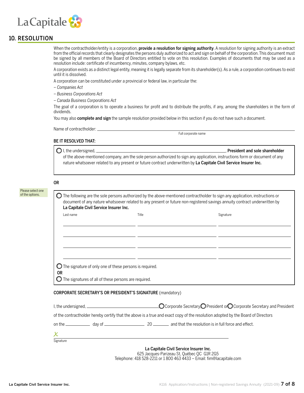

### 10. RESOLUTION

When the contractholder/entity is a corporation, **provide a resolution for signing authority**. A resolution for signing authority is an extract from the official records that clearly designates the persons duly authorized to act and sign on behalf of the corporation. This document must be signed by all members of the Board of Directors entitled to vote on this resolution. Examples of documents that may be used as a resolution include: certificate of incumbency, minutes, company bylaws, etc.

A corporation exists as a distinct legal entity, meaning it is legally separate from its shareholder(s). As a rule, a corporation continues to exist until it is dissolved.

A corporation can be constituted under a provincial or federal law, in particular the:

- *Companies Act*
- *Business Corporations Act*
- *Canada Business Corporations Act*

The goal of a corporation is to operate a business for profit and to distribute the profits, if any, among the shareholders in the form of dividends.

You may also **complete and sign** the sample resolution provided below in this section if you do not have such a document.

Name of contractholder:

Full corporate name

#### BE IT RESOLVED THAT:

 $\bigcirc$  I, the undersigned,  $\bigcirc$  is a set of the undersigned,  $\bigcirc$  is a set of the sole shareholder  $\bigcirc$  is a set of the undersigned,  $\bigcirc$  is a set of the undersigned,  $\bigcirc$ 

of the above-mentioned company, am the sole person authorized to sign any application, instructions form or document of any nature whatsoever related to any present or future contract underwritten by La Capitale Civil Service Insurer Inc.

OR

| Last name                                                                    | Title | Signature |
|------------------------------------------------------------------------------|-------|-----------|
|                                                                              |       |           |
|                                                                              |       |           |
|                                                                              |       |           |
|                                                                              |       |           |
| $\bigcirc$ The signature of only one of these persons is required.           |       |           |
| <b>OR</b><br>$\bigcirc$ The signatures of all of these persons are required. |       |           |

of the contractholder hereby certify that the above is a true and exact copy of the resolution adopted by the Board of Directors

| on the | dav of |  | and that the resolution is in full force and effect. |
|--------|--------|--|------------------------------------------------------|
|--------|--------|--|------------------------------------------------------|

| Signature |
|-----------|

La Capitale Civil Service Insurer Inc.

625 Jacques-Parizeau St, Québec QC G1R 2G5 Telephone: 418 528-2211 or 1 800 463 4433 – Email: fim@lacapitale.com